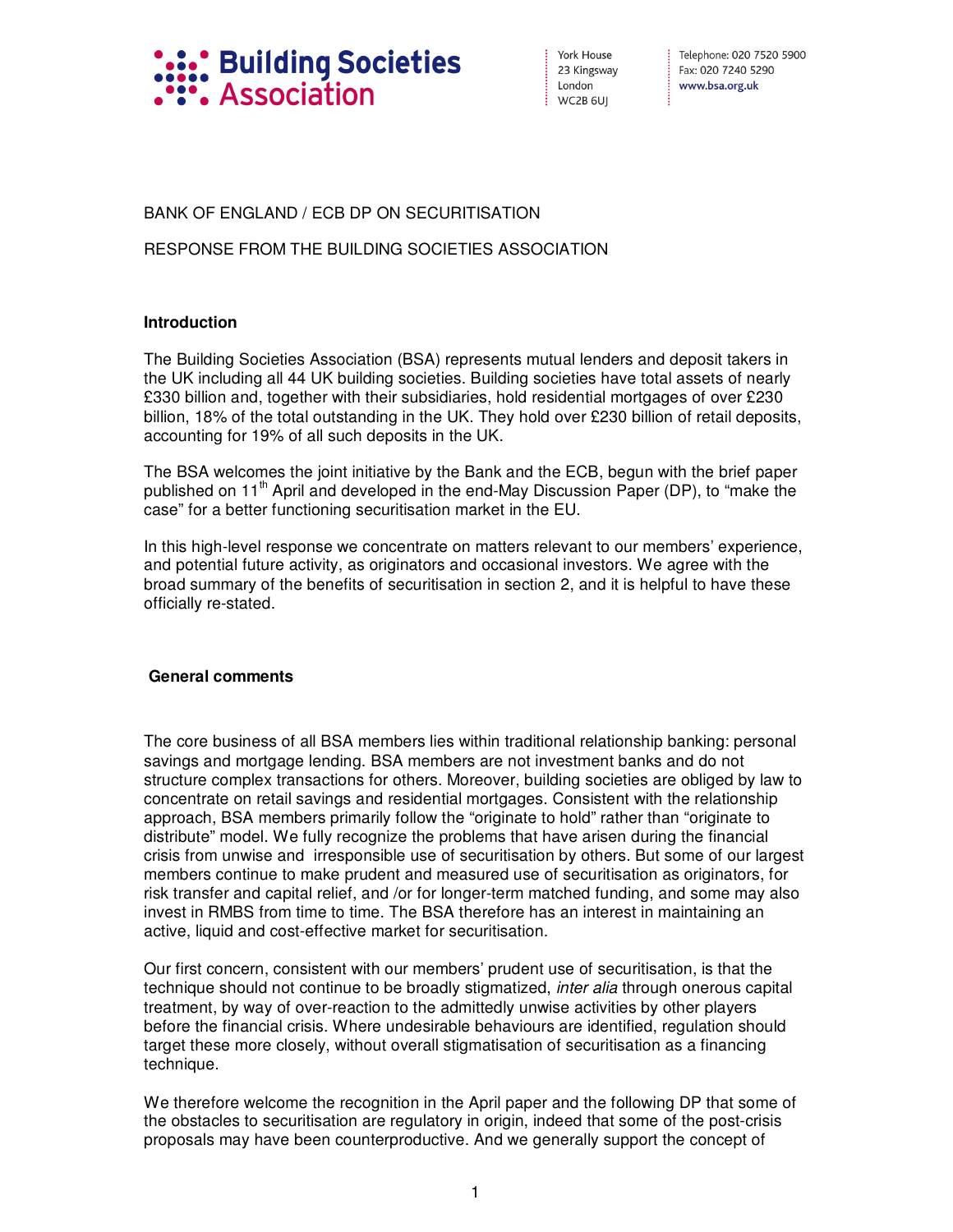

York House 23 Kingsway London  $WC2B6U$ 

Telephone: 020 7520 5900 Fax: 020 7240 5290 www.bsa.org.uk

# BANK OF ENGLAND / ECB DP ON SECURITISATION

## RESPONSE FROM THE BUILDING SOCIETIES ASSOCIATION

### **Introduction**

The Building Societies Association (BSA) represents mutual lenders and deposit takers in the UK including all 44 UK building societies. Building societies have total assets of nearly £330 billion and, together with their subsidiaries, hold residential mortgages of over £230 billion, 18% of the total outstanding in the UK. They hold over £230 billion of retail deposits, accounting for 19% of all such deposits in the UK.

The BSA welcomes the joint initiative by the Bank and the ECB, begun with the brief paper published on  $11<sup>th</sup>$  April and developed in the end-May Discussion Paper (DP), to "make the case" for a better functioning securitisation market in the EU.

In this high-level response we concentrate on matters relevant to our members' experience, and potential future activity, as originators and occasional investors. We agree with the broad summary of the benefits of securitisation in section 2, and it is helpful to have these officially re-stated.

### **General comments**

The core business of all BSA members lies within traditional relationship banking: personal savings and mortgage lending. BSA members are not investment banks and do not structure complex transactions for others. Moreover, building societies are obliged by law to concentrate on retail savings and residential mortgages. Consistent with the relationship approach, BSA members primarily follow the "originate to hold" rather than "originate to distribute" model. We fully recognize the problems that have arisen during the financial crisis from unwise and irresponsible use of securitisation by others. But some of our largest members continue to make prudent and measured use of securitisation as originators, for risk transfer and capital relief, and /or for longer-term matched funding, and some may also invest in RMBS from time to time. The BSA therefore has an interest in maintaining an active, liquid and cost-effective market for securitisation.

Our first concern, consistent with our members' prudent use of securitisation, is that the technique should not continue to be broadly stigmatized, *inter alia* through onerous capital treatment, by way of over-reaction to the admittedly unwise activities by other players before the financial crisis. Where undesirable behaviours are identified, regulation should target these more closely, without overall stigmatisation of securitisation as a financing technique.

We therefore welcome the recognition in the April paper and the following DP that some of the obstacles to securitisation are regulatory in origin, indeed that some of the post-crisis proposals may have been counterproductive. And we generally support the concept of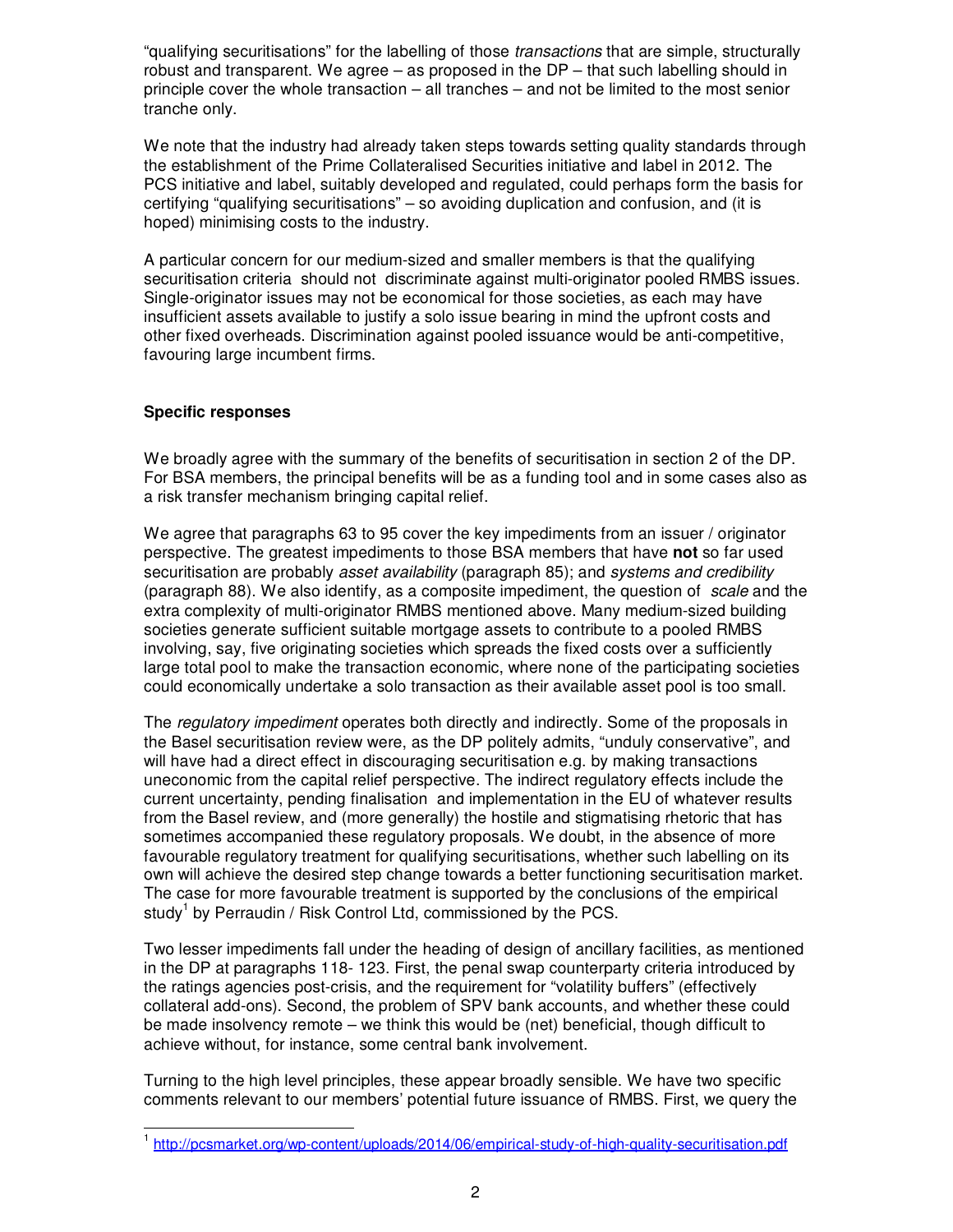"qualifying securitisations" for the labelling of those *transactions* that are simple, structurally robust and transparent. We agree – as proposed in the DP – that such labelling should in principle cover the whole transaction – all tranches – and not be limited to the most senior tranche only.

We note that the industry had already taken steps towards setting quality standards through the establishment of the Prime Collateralised Securities initiative and label in 2012. The PCS initiative and label, suitably developed and regulated, could perhaps form the basis for certifying "qualifying securitisations" – so avoiding duplication and confusion, and (it is hoped) minimising costs to the industry.

A particular concern for our medium-sized and smaller members is that the qualifying securitisation criteria should not discriminate against multi-originator pooled RMBS issues. Single-originator issues may not be economical for those societies, as each may have insufficient assets available to justify a solo issue bearing in mind the upfront costs and other fixed overheads. Discrimination against pooled issuance would be anti-competitive, favouring large incumbent firms.

## **Specific responses**

We broadly agree with the summary of the benefits of securitisation in section 2 of the DP. For BSA members, the principal benefits will be as a funding tool and in some cases also as a risk transfer mechanism bringing capital relief.

We agree that paragraphs 63 to 95 cover the key impediments from an issuer / originator perspective. The greatest impediments to those BSA members that have **not** so far used securitisation are probably asset availability (paragraph 85); and systems and credibility (paragraph 88). We also identify, as a composite impediment, the question of scale and the extra complexity of multi-originator RMBS mentioned above. Many medium-sized building societies generate sufficient suitable mortgage assets to contribute to a pooled RMBS involving, say, five originating societies which spreads the fixed costs over a sufficiently large total pool to make the transaction economic, where none of the participating societies could economically undertake a solo transaction as their available asset pool is too small.

The regulatory impediment operates both directly and indirectly. Some of the proposals in the Basel securitisation review were, as the DP politely admits, "unduly conservative", and will have had a direct effect in discouraging securitisation e.g. by making transactions uneconomic from the capital relief perspective. The indirect regulatory effects include the current uncertainty, pending finalisation and implementation in the EU of whatever results from the Basel review, and (more generally) the hostile and stigmatising rhetoric that has sometimes accompanied these regulatory proposals. We doubt, in the absence of more favourable regulatory treatment for qualifying securitisations, whether such labelling on its own will achieve the desired step change towards a better functioning securitisation market. The case for more favourable treatment is supported by the conclusions of the empirical study<sup>1</sup> by Perraudin / Risk Control Ltd, commissioned by the PCS.

Two lesser impediments fall under the heading of design of ancillary facilities, as mentioned in the DP at paragraphs 118- 123. First, the penal swap counterparty criteria introduced by the ratings agencies post-crisis, and the requirement for "volatility buffers" (effectively collateral add-ons). Second, the problem of SPV bank accounts, and whether these could be made insolvency remote – we think this would be (net) beneficial, though difficult to achieve without, for instance, some central bank involvement.

Turning to the high level principles, these appear broadly sensible. We have two specific comments relevant to our members' potential future issuance of RMBS. First, we query the

 <sup>1</sup> http://pcsmarket.org/wp-content/uploads/2014/06/empirical-study-of-high-quality-securitisation.pdf